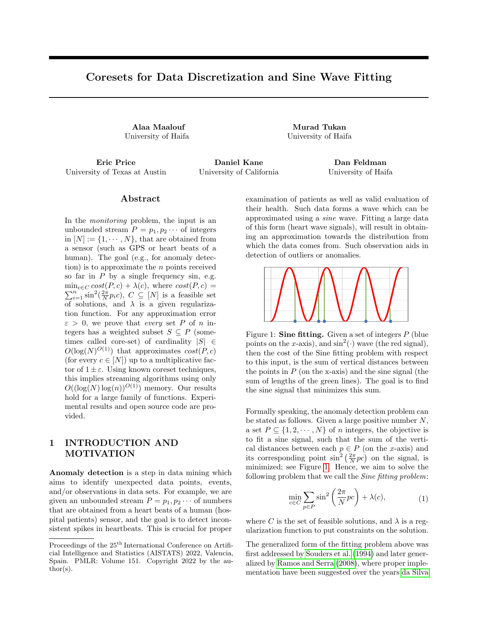# Coresets for Data Discretization and Sine Wave Fitting

Alaa Maalouf Murad Tukan

University of Haifa University of Haifa

University of Texas at Austin University of California University of Haifa

Eric Price Daniel Kane Dan Feldman

#### Abstract

In the monitoring problem, the input is an unbounded stream  $P = p_1, p_2 \cdots$  of integers in  $[N] := \{1, \dots, N\}$ , that are obtained from a sensor (such as GPS or heart beats of a human). The goal (e.g., for anomaly detection) is to approximate the  $n$  points received so far in  $P$  by a single frequency sin, e.g.  $\min_{c \in C} cost(P, c) + \lambda(c)$ , where  $cost(P, c)$  =  $\min_{c \in C} cost(P, c) + \lambda(c)$ , where  $cost(P, c) = \sum_{i=1}^{n} \sin^2(\frac{2\pi}{N} p_i c)$ ,  $C \subseteq [N]$  is a feasible set of solutions, and  $\lambda$  is a given regularization function. For any approximation error  $\varepsilon > 0$ , we prove that *every* set P of n integers has a weighted subset  $S \subseteq P$  (sometimes called core-set) of cardinality  $|S| \in$  $O(\log(N)^{O(1)})$  that approximates  $cost(P, c)$ (for every  $c \in [N]$ ) up to a multiplicative factor of  $1 \pm \varepsilon$ . Using known coreset techniques, this implies streaming algorithms using only  $O((\log(N) \log(n))^{O(1)})$  memory. Our results hold for a large family of functions. Experimental results and open source code are provided.

### 1 INTRODUCTION AND MOTIVATION

Anomaly detection is a step in data mining which aims to identify unexpected data points, events, and/or observations in data sets. For example, we are given an unbounded stream  $P = p_1, p_2 \cdots$  of numbers that are obtained from a heart beats of a human (hospital patients) sensor, and the goal is to detect inconsistent spikes in heartbeats. This is crucial for proper examination of patients as well as valid evaluation of their health. Such data forms a wave which can be approximated using a sine wave. Fitting a large data of this form (heart wave signals), will result in obtaining an approximation towards the distribution from which the data comes from. Such observation aids in detection of outliers or anomalies.

<span id="page-0-0"></span>

Figure 1: **Sine fitting.** Given a set of integers  $P$  (blue points on the x-axis), and  $\sin^2(\cdot)$  wave (the red signal), then the cost of the Sine fitting problem with respect to this input, is the sum of vertical distances between the points in  $P$  (on the x-axis) and the sine signal (the sum of lengths of the green lines). The goal is to find the sine signal that minimizes this sum.

Formally speaking, the anomaly detection problem can be stated as follows. Given a large positive number  $N$ , a set  $P \subseteq \{1, 2, \dots, N\}$  of n integers, the objective is to fit a sine signal, such that the sum of the vertical distances between each  $p \in P$  (on the x-axis) and its corresponding point  $\sin^2\left(\frac{2\pi}{N}pc\right)$  on the signal, is minimized; see Figure [1.](#page-0-0) Hence, we aim to solve the following problem that we call the *Sine fitting problem*:

$$
\min_{c \in C} \sum_{p \in P} \sin^2 \left( \frac{2\pi}{N} pc \right) + \lambda(c),\tag{1}
$$

<span id="page-0-1"></span>where C is the set of feasible solutions, and  $\lambda$  is a regularization function to put constraints on the solution.

The generalized form of the fitting problem above was first addressed by Souders et al. (1994) and later generalized by Ramos and Serra (2008), where proper implementation have been suggested over the years da Silva

Proceedings of the  $25^{\text{th}}$  International Conference on Artificial Intelligence and Statistics (AISTATS) 2022, Valencia, Spain. PMLR: Volume 151. Copyright 2022 by the au- $\text{thor}(s)$ .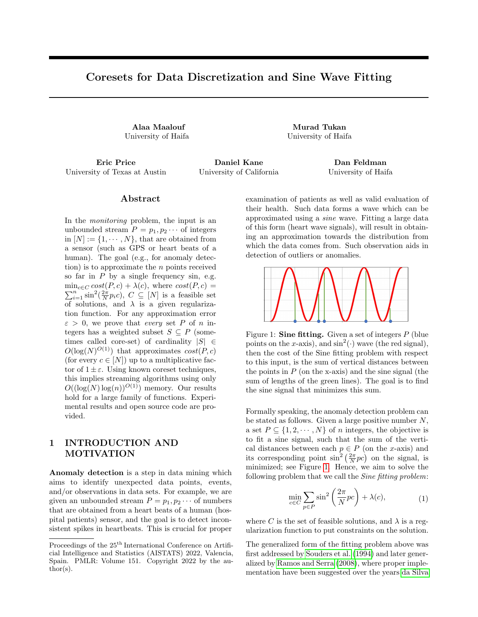and Serra (2003); Chen et al. (2015); Renczes et al. (2016); Renczes and Pal (2021). In addition, the Sine tting problem and its variants gained attention in recent years in solving various problems, e.g., estimating the shift phase between two signal with very high accuracy Queiros et al. (2010), characterizing data acquisition channels and analog to digital converters Pintelon and Schoukens (1996), high-accuracy sampling measurements of complex voltage ratio of sinusoidal signals Augustyn and Kampik (2018), etc.

Data discretization. In many applications, we aim to nd a proper choice of 
oating-point grid. For example, when we are given points encoded in 64bits, and we wish to use a 32 
oating point grid. A naive way to do so is by simply removing the most/least signi cant 32 bits from each point. However such approach results in losing most of the underlying structure that these points form, which in turn leads to unnecessary data loss. Instead, arithmetic modulo or sine functions that incorporate cyclic properties are used, e.g., Naumov et al. (2018); Nagel et al. (2020); Gholami et al. (2021). Such functions aim towards retaining as much information as possible when information loss is inevitable. This task serves well in the eld of quantization Gholami et al. (2021), which is an active sub- eld in deep learning models.

To solve this problem, we rst nd the sine wave that ts the input data using the cost function at ([1\).](#page-0-1) Then each point in the input data is projected to its nearest point from the set of roots of the signal that was obtained from the sine tting operation; see Figure 2.

All of the applications above, e.g., monitoring, anomaly detection, and data discretization, are problems that are reduced to an instance of the Sine tting problem. Although these problems are desirable, solving them on large-scale data is not an easy task, due to bounded computational power and memory. In addition, in the streaming (or distributed) setting where points are being received via a stream of data, tting such functions requires new algorithms for handling such settings. To handle these challenges, we can use coresets.

### 1.1 Coresets

Coreset was rst suggested as a data summarization technique in the context of computational geometry (Agarwal et al., 2004), and got increasing attention over recent years (Broder et al., 2014; Tukan et al., 2020; Huang et al., 2021; Cohen-Addad et al., 2021; Huang et al., 2020; Mirzasoleiman et al., 2020); for extensive surveys on coresets, we refer the reader to (Feldman, 2020; Phillips, 2016), and Jubran et al. (2019); Maalouf et al. (2021b) for an introductory.

Informally speaking, a coreset is (usually) a small weighted subset of the original input set of points that approximates its loss for every feasible query, up to a provable multiplicative error of 1  $\,$  ", where" 2 (0; 1) is a given error parameter. Usually the goal is to have a coreset of size that is independent or near-logarithmic in the size of the input (number of points), in order to be able to store a data of the same structure (as the input) using small memory, and to obtain a faster time solutions (approximations) by running them on the coreset instead of the original data. Furthermore, the accuracy of existing (fast) heuristics can be improved by running them many times on the coreset in the time it takes for a single run on the original (big) dataset. Finally, since coresets are designed to approximate the cost of every feasible query, it can be used to solve constraint optimization problems, and to support streaming and distributed models; see details and more advantages of coresets in (Feldman, 2020).

In the recent years, coresets were applied to improve many algorithms from di erent elds e.g. logistic regression (Huggins et al., 2016; Munteanu et al., 2018; Karnin and Liberty, 2019; Tukan et al., 2020), matrix approximation (Feldman et al., 2013; Maalouf et al., 2019; Feldman et al., 2010; Sarlos, 2006; Maalouf et al., 2021c), decision trees (Jubran et al., 2021), clustering (Feldman et al., 2011; Gu, 2012; Lucic et al., 2016; Bachem et al., 2018; Jubran et al., 2020; Schmidt et al., 2019),`<sup>z</sup> -regression (Cohen and Peng, 2015; Dasgupta et al., 2009; Sohler and Woodru, 2011),SVM (Har-Peled et al., 2007; Tsang et al., 2006, 2005a,b; Tukan et al., 2021a), deep learning models (Baykal et al., 2018; Maalouf et al., 2021a; Liebenwein et al., 2019; Mussay et al., 2021), etc.

Sensitivity sampling framework. A uni ed framework for computing coresets to wide range family of problems was suggested in (Braverman et al., 2016). It is based on non-uniform sampling, speci cally, sensitivity sampling. Intuitively, the sensitivity of a point p from the input set P is a numbers(p)  $2 \left[0, 1\right]$  that corresponds to the importance of this point with respect to the other points, and the speci c cost function that we wish to approximate; see formal details in Theorem 2. The main goal of de ning a sensitivity is that with high probability, a non-uniform sampling from P based on these sensitivities yields a coreset, where each point p is sampled i.i.d. with a probability that is proportional to  $s(p)$ , and assigned a (multiplicative) weight which is inversely proportional to s(p). The size of the coreset is then proportional to (i) the total sum of these sensitivitiest  $=$  $_{\sf p2\, P}$  s(p), and (ii) the VC dimension of the problem at hand, which is (intuitively) a complexity measure. In recent years, many classical and hard machine learning problems (Braver-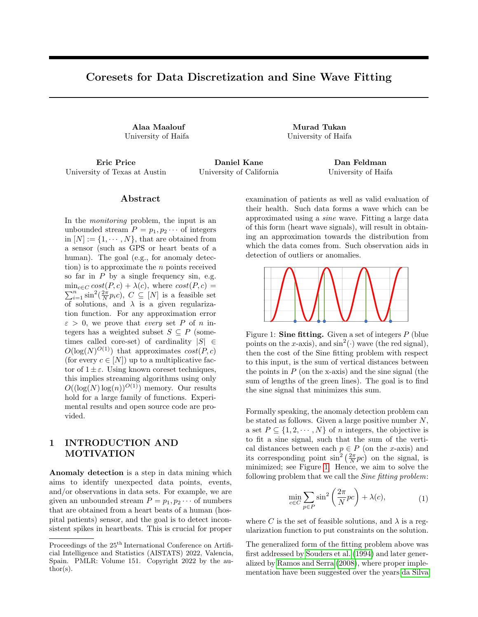man et al., 2016; Sohler and Woodru, 2018; Maalouf et al., 2020b) have been proved to have a total sensitivity (and VC dimension) that is near-logarithmic in or even independent of the input sizejPj.

Figure 2: Discretization. Given a set of points (blue points), we nd a sine wave (red signal) that ts the input data. Then each input point is projected to its nearest point from the set of roots of the signal.

#### 1.2 Our Contribution

We summarize our contribution as follows.

- (i) Theoretically, we prove that for every integer  $N >$ 1, and every set $P$  [N] of  $n > 1$  integers:
	- (a) The total sensitivity with respect to the Sine tting problem is bounded by  $O(log^4 N)$ , and the VC dimension is bounded by O(log (nN )); see Theorem 4 and Claim 12 respectively.
	- (b) For any approximation error  $"$  > 1, there exists a coreset of size  $\Theta$  log(N)<sup>O(1)</sup> (see Theorem 3 for full details) with respect to the Sine tting optimization problem.
- (ii) Experimental results on real world datasets and open source code (Code, 2022) are provided.

### 2 PRELIMINARIES

In this section we rst give our notations that will be used throughout the paper. We then de ne the sensitivity of a point in the context of the Sine tting problem (see De nition 1), and formally write how it can be used to construct a coreset (see Theorem 2). Finally we state the main goal of the paper.

Notations. Let  $Z^+$  denote the set of all positive integers,  $[p] = f 1; \ldots; ng for every n 2 Z<sup>+</sup>, and for every$ x 2 R denote the rounding of x to its nearest integer by bxe (e.g.  $b3:2e = 3$ ).

We now formally de ne the sensitivity of a point  $p 2 P$ in the context of the Sine tting problem.

De nition 1 (Sine tting sensitivity). Let  $N > 1$  be a positive integer, and let  $P$  [N] be a set ofn  $>$ 1 integers. For every p 2 P, the sensitivity of p is de ned as max<sub>c2 [N ]</sub>  $\frac{\sin^2(\text{pc}\frac{2}{N})}{\text{sn}^2(\text{qc}\frac{2}{N})}$ :

The following theorem formally describes how to construct an "-coreset via the sensitivity framework. We restate it from Braverman et al. (2016) and modify it to be speci c for our cost function.

Theorem 2. Let  $N > 1$  be a positive integer, and let P [N] be a set of  $n > 1$  integers. Let  $s : P$  ! [0; 1] be a function such thats(p) is an upper bound on the sensitivity of  $p$  (see De nition 1). Let  $t =$ <sub>p2 P</sub> s(p) and  $d^0$  be the VC dimension of the Sine tting problem; see De nition 11. Let ";  $2(0,1)$ , and let S be a random sample ofjSj 2 O  $\frac{t}{T^2}$  d<sup>0</sup>logt + log <sup>1</sup> i.i.d points from P, where every p 2 P is sampled with probability s(p)=t. Let  $v(p) = \frac{t}{s(p)|S|}$  for every p 2 S. Then with probability at least  $1$ , we have that for every c 2 [N ], we have 1  $\frac{p_2 s v(p) \sin^2(p c \frac{2}{N})}{p_2 p \sin^2(p c \frac{2}{N})}$ ":

Problem statement. Theorem 2 raises the following question: Can we bound the the total sensitivity and the VC dimension of the Sine tting problem in order to obtain small coresets?

Note that, the emphasis of this work is on the size of the coreset that is needed (required memory) to approximate the Sine tting cost function.

# 3 CORESET FOR SINE FITTING

In this section we state and prove our main result. For brevity purposes, some proofs of the technical results have been omitted from this manuscript; we refer the reader to the supplementary material for these proofs.

Note that since the regularization function at (1) is independent ofP, a 1 " multiplicative approximation of the  $\sin^2()$  terms at (1), yields a 1 " multiplicative approximation for the whole term in (1).

The following theorem summarizes our main result.

Theorem 3 (Main result: coreset for the Sine tting problem). Let  $N > 1$  be a positive integer, P [N] be a set of  $n > 1$  integers, and let";  $2(0; 1)$ . Then, we can compute a pair( $S$ ;  $v$ ), where  $S$  P, and  $v : S$ !  $[0; 1)$ , such that

1. the size ofS is polylogarithmic in N and logarithmic in n, i.e.,

$$
jSj 2 O \frac{\log^4 N}{n^2} \log(nN) \log(\log N) + \log \frac{1}{n}
$$

2. with probability at least 1 , for every  $c 2 [N]$ ,

P  
1 
$$
\frac{p^2 S V(p) \sin^2(pc \frac{2}{N})}{p^2 P \sin^2(pc \frac{2}{N})}
$$
 ::

 $1<sup>1</sup>$ O hide terms related to " (the approximation factor), and (probability of failure).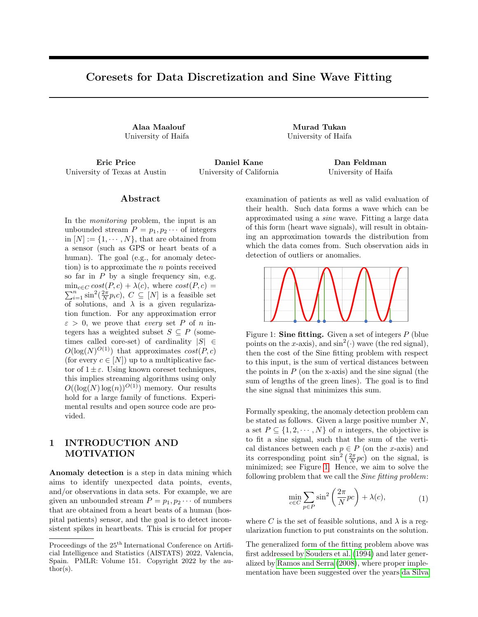To prove Theorem 3, we need to bound the total sensitivity (as done in Section 3.1) and the VC dimension (see Section 3.2) of the Sine tting problem.

#### 3.1 Bound On The Total Sensitivity

In this section we show that the total sensitivity of the Sine tting problem is small and bounded. Formally speaking,

Theorem 4. Let  $N$  1 and  $P$  [N]. Then

$$
\frac{X}{p2 P} \max_{c2 \, [N]} \frac{\sin^2(p c \frac{2}{N})}{q2 P} \sin^2(q c \frac{2}{N}) \cdot 2 O(log^4 N);
$$

We prove Theorem 4 by combining multiple claims and lemmas. We rst state the following as a tool to use the cyclic property of the sine function.

Claim 5. Let  $a; b2 \, Z^+$  be a pair of positive integers. Then for every  $x \, 2 \, Z^+$ ,

$$
\sin \frac{b}{a}x = \sin \frac{b}{a} (x \mod a) :
$$

We now proceed to prove that one doesn't need to go over all the possible integers in  $N \mid$  to compute a bound on the sensitivity of each p 2 P, but rather a smaller compact subset of  $[N]$  is su cient.

Lemma 6. Let P [N] be a set ofn integer points. For every p 2 P, let

C(p) = c2 [N]cp mod 
$$
\frac{N}{2}
$$
 2  $\frac{N}{8}$ ;  $\frac{3N}{8}$  :

Then for every p 2 P,

$$
\max_{c2[N]} \frac{p^{\sin^2 \frac{2}{N}pc}}{\sin^2 \frac{2}{N}qc} \quad 4 \max_{c2C(p)} \frac{p^{\sin^2 \frac{2}{N}pc}}{\sin^2 \frac{2}{N}qc} \quad (2)
$$

Proof. Put  $p 2 P$ , and let  $c 2 [N]$  be an integer that maximizes the left hand side of (2) with respect top, i.e.,

$$
\max_{c_2[N]} \frac{\sin^2\;pc\;\frac{2}{N}}{_{q2P}\sin^2\;qc\;\frac{2}{N}} = \frac{p\;\frac{\sin^2\;pc\;\frac{2}{N}}{_{q2P}\sin^2\;qc\;\frac{2}{N}}}{_{q2P}\sin^2\;qc\;\frac{2}{N}}.
$$
(3)

If c 2 C(p) the claim trivially holds. Otherwise, we have  $c \ 2 \ [N] \n n C(p)$ , and we prove the claim using case analysis: Case (i)  $($  p mod  $\frac{N}{2}$ ) 2 0;  $\frac{N}{8}$  , and Case (ii) (c p mod  $\frac{N}{2}$ ) 2  $\frac{N}{2}$   $\frac{N}{8}$ ;  $\frac{N}{2}$ .

Case (i): Let  $b_2$  2 [8] n [3] be an integer, and let

$$
z = \frac{1}{\frac{N+b_2}{c \text{ p mod } \frac{N}{2}}}
$$
. We rest observe that  

$$
z = \frac{8}{\frac{N}{c \text{ p mod } \frac{N}{2}}}
$$

$$
= \frac{\frac{N}{b_2}}{c \text{ p mod } \frac{N}{2}} + \frac{\frac{N}{b_2} \mod c \text{ p mod } \frac{N}{2}}{c \text{ p mod } \frac{N}{2}};
$$
(4)

where the second equality hold by properties of the ceiling function. We further observe that,

z c p mod 
$$
\frac{N}{2}
$$
  
\n= $\frac{N}{b_2} + \frac{N}{b_2}$  mod c p mod  $\frac{N}{2}$  (5)  
\n2  $\frac{N}{b_2}$ ;  $\frac{N}{8} + \frac{N}{b_2}$ ;

where the rst equality holds by expanding z using (4), and the last inclusion holds<sub>i</sub> by the assumption of Case (i). Since  $\frac{N}{b_2}$ ;  $\frac{N}{8}$  +  $\frac{N}{b_2}$  is entirely included in  $\frac{N}{8}$ ;  $\frac{3N}{8}$  , then it holds that z c p mod  $\frac{N}{2}$  2  $\beta(\mathsf{p})$ . Similarly, one can show that (zc p) mod  $\frac{\mathsf{N}}{2}$  2  $\frac{N}{b_2}$ ;  $\frac{N}{8}$  +  $\frac{N}{b_2}$ , which means that zc 2 C(p).

We now proceed to show that the sensitivity can be bounded using some point  $inc(p)$ . Since for every x 2  $\,$  0;  $_{\overline{2}}\,$  , sin $\,$ x  $\,$   $\,$  2 jsin $\,$ xj, then it holds that

$$
\sin^2 \frac{2}{N} pc = \sin^2 \frac{2}{N} \quad c \text{ p mod } \frac{N}{2}
$$
\n
$$
\frac{2}{N} \quad c \text{ p mod } \frac{N}{2}
$$
\n
$$
= \frac{2}{N} z \quad c \text{ p mod } \frac{N}{2} \quad \frac{2}{z^2}
$$
\n
$$
\frac{4}{z^2} \sin^2 \frac{2}{N} z \quad c \text{ p mod } \frac{N}{2}
$$
\n
$$
= \frac{4}{z^2} \sin^2 \frac{2}{N} z c \text{ p ;}
$$
\n(6)

where the rst equality holds by plugging a :=  $\frac{N}{2}$ ,  $b := 1$  and  $x := c$  p into Claim 5, the rst inequality holds since  $\frac{2}{N}$  c p mod  $\frac{N}{2}$  2 [0; ], the second equality holds by multiplying and dividing by z, the second inequality follows from combining the fact that  $\frac{2}{N}$ z c p mod  $\frac{N}{2}$  $\frac{2}{N}$ z c p mod  $\frac{N}{2}$   $\frac{1}{4}$  +  $\frac{1}{b_2}$ which is derived from (5) and the observation that 2 jsinxj x for every x 2  $\,$  0;  $_{\overline{2}}\,$  , and the last equality holds by plugging  $a := \frac{N}{2}$ , b := z and x := c p into Claim 5.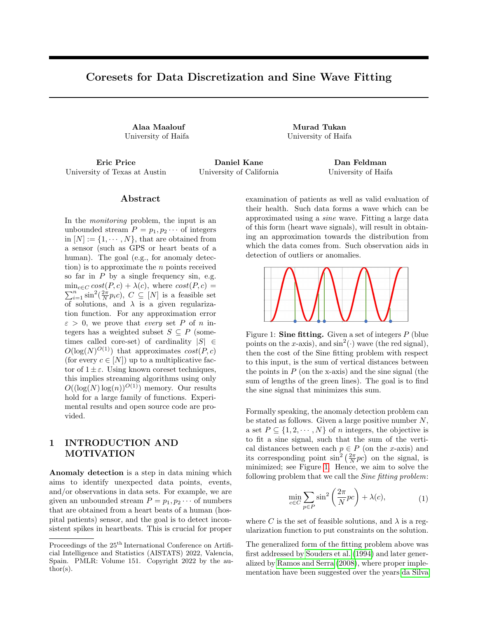In addition, it holds that for every q 2 P

$$
\sin^2 \frac{2}{N} \quad c \text{ q mod } \frac{N}{2}
$$
\n
$$
\frac{1}{4} \frac{2}{N} \quad c \text{ q mod } \frac{N}{2}
$$
\n
$$
= \frac{\frac{2z}{N} \quad c \text{ q mod } \frac{N}{2}}{4z^2}
$$
\n
$$
\frac{\sin^2 \frac{2z}{N} \quad c \text{ q mod } \frac{N}{2}}{4z^2}
$$
\n
$$
= \frac{1}{4z^2} \sin^2 \frac{2}{N} z c q ;
$$
\n(7)

where the rst inequality holds by combining the assumption of Case (i) and the observation that sinxi  $\frac{x}{2}$  for every x 2 0;  $\frac{1}{2}$ , the rst equality holds by multiplying and dividing by z, the second inequality holds by combining (5) with the observation that  $x$  i sinxi for every  $x$  2  $[0;$  ) where in this context  $x := \frac{2z}{N}$  c q mod  $\frac{N}{2}$ , and nally the last equality holds by plugging  $a := \frac{N}{2}$ ,  $b := z$ , and  $x := c$  q into Claim 5.

Combining (3), (5), (6) and (7) yields that

$$
\begin{array}{l}\n\max_{c_2[N]} \frac{\sin^2 \frac{2}{N}pc}{\sin^2 \frac{2}{N}qc} \\
\max_{q2P} \frac{\frac{16}{2}sin^2 \frac{2z}{N} \text{ pc mod } \frac{N}{2}}{\frac{22}{2} \cosh \frac{12}{2} \cosh \frac{12}{2}} \\
= \max_{c_2[N]} \frac{16 \sin^2 \frac{2}{N} zpc}{\frac{q2P}{2} \sin^2 \frac{2}{N} zpc} = \max_{c_2(C(p))} \frac{16 \sin^2 \frac{2}{N} cp}{\frac{q2P}{2} \sin^2 \frac{2}{N} cq};\n\end{array}
$$

where last equality holds from combining (3) andzc 2  $C(p)$ .

Case (ii): Let  $c^0 = N$  c, and note that  $c^0$  2 [N]. For every q 2 P,

$$
jsin (c0q 2 = N )j = jsin (c q 2 = N )j :
$$

We observe that

$$
(c^{0}p \mod \frac{N}{2}) = (N \quad c) p \mod \frac{N}{2}
$$
  
= Np mod  $\frac{N}{2} + (c p) \mod \frac{N}{2}$  mod  $\frac{N}{2}$   
= 0 + (c p) mod  $\frac{N}{2}$  mod  $\frac{N}{2}$   
= (c p) mod  $\frac{N}{2}$   
(N=2 N=8) mod  $\frac{N}{2}$   
= N=8 mod  $\frac{N}{2}$  N mod  $\frac{N}{2}$  = N=8:

Hence, the proof of Claim 6 in Case (ii) follows by replacing c with  $c^0$  in Case (i). П

In what follows, we show that the sensitivity of each point p 2 P is bounded from above by a factor that is proportionally polylogarithmic in N and inversely linear in the number of points q 2 P that are not that far from p in terms of arithmetic modulo.

Lemma 7. Let  $C(p)$  be as in Lemma 6 for every 2 P, and let

$$
g(p; P) = \min_{c_2 C(p)} q_2 P : (cq \mod \frac{N}{2}) 2
$$
  

$$
\frac{N}{16 \log N}, \frac{N}{2} \frac{N}{16 \log N}
$$
 (8)

Then for every p 2 P,

$$
\max_{c^2 C(p)} \frac{sin^2~pc~\frac{2}{N}}{_{q2P} sin^2~qc~\frac{2}{N}} \cdot 2 \cdot O(log^2 N) \frac{1}{g(p;P)}.
$$

Proof. Put  $p \ 2 \ P$ , c 2 C(p), and let  $P^0 =$ q 2 P : sin<sup>2</sup> qc  $\frac{2}{N}$  1=(8 log N )<sup>2</sup>.

First we observe that for every q 2 P such that sin<sup>2</sup> qc  $\frac{2}{N}$  1=(8 log N )<sup>2</sup>, it is implied that (qq) mod  $\frac{N}{2}$   $\frac{N}{16 \log N}$ . By the cyclic property of sin, it holds that ( qc) mod  $\frac{N}{2}$  $\frac{N}{2}$  $\frac{N}{16 \log N}$ .

Combining the above with the fact that sin<sup>2</sup> pc  $\frac{2}{N}$  1, yields that

$$
\frac{\frac{\pi}{2} \sin^2 \rho c \frac{2}{N}}{\frac{\pi}{2} \sin^2 \rho c \frac{2}{N}} = \frac{1}{\frac{\pi}{2} \sin^2 \rho c \frac{2}{N}} = \frac{1}{\frac{1}{\rho^2 \sin^2 \rho c \sin^2 \rho c \frac{2}{N}}}
$$
\n
$$
\frac{1}{\rho c \sin^2 \rho c \sin^2 \rho c \frac{2}{N}} = \frac{1}{\frac{\pi}{2} \sin^2 \rho c \sin^2 \rho c \frac{2}{N}} = \frac{1}{\frac{\pi}{2} \sin^2 \rho c \sin^2 \rho c \frac{2}{N}} = \frac{1}{\frac{\pi}{2} \sin^2 \rho c \sin^2 \rho c \frac{2}{N}} = \frac{1}{\frac{\pi}{2} \sin^2 \rho c \sin^2 \rho c \frac{2}{N}} = \frac{1}{\frac{\pi}{2} \sin^2 \rho c \sin^2 \rho c \frac{2}{N}} = \frac{1}{\frac{\pi}{2} \sin^2 \rho c \sin^2 \rho c \frac{2}{N}} = \frac{1}{\frac{\pi}{2} \sin^2 \rho c \sin^2 \rho c \frac{2}{N}} = \frac{1}{\frac{\pi}{2} \sin^2 \rho c \sin^2 \rho c \frac{2}{N}} = \frac{1}{\frac{\pi}{2} \sin^2 \rho c \sin^2 \rho c \frac{2}{N}} = \frac{1}{\frac{\pi}{2} \sin^2 \rho c \sin^2 \rho c \frac{2}{N}} = \frac{1}{\frac{\pi}{2} \sin^2 \rho c \sin^2 \rho c \frac{2}{N}} = \frac{1}{\frac{\pi}{2} \sin^2 \rho c \sin^2 \rho c \frac{2}{N}} = \frac{1}{\frac{\pi}{2} \sin^2 \rho c \sin^2 \rho c \frac{2}{N}} = \frac{1}{\frac{\pi}{2} \sin^2 \rho c \sin^2 \rho c \frac{2}{N}} = \frac{1}{\frac{\pi}{2} \sin^2 \rho c \sin^2 \rho c \frac{2}{N}} = \frac{1}{\frac{\pi}{2} \sin^2 \rho c \sin^2 \rho c \frac{2}{N}} = \frac{1}{\frac{\pi}{2} \sin^2 \rho c \sin^2 \rho c \frac{2}{N}} = \frac{1}{\frac{\pi}{2} \sin^2 \rho c \sin^2 \rho c \sin^2 \rho c \frac{
$$

where the second inequality follows from $P^0$  P, and the last derivation holds since  $g(p; P)$  j  $P^0$  which follows from (8).  $\Box$ 

The bound on the sensitivity of each pointp 2 P (from the Lemma 7) still requires us to go over all possible queries in  $C(p)$  to obtain the closest points in P to p. Instead of trying to bound the sensitivity of each point by a term that doesn't require evaluation over every query in C(p), we will bound the total sensitivity in a term that is independent of  $C(p)$  for every  $p 2 P$ . This is done by reducing the problem to an instance of the expected size of independent set of vertices in a graph (see Claim 9). First, we will use the following claim to obtain an independent set of size polylogarithmic in the number of vertices in any given directed graph.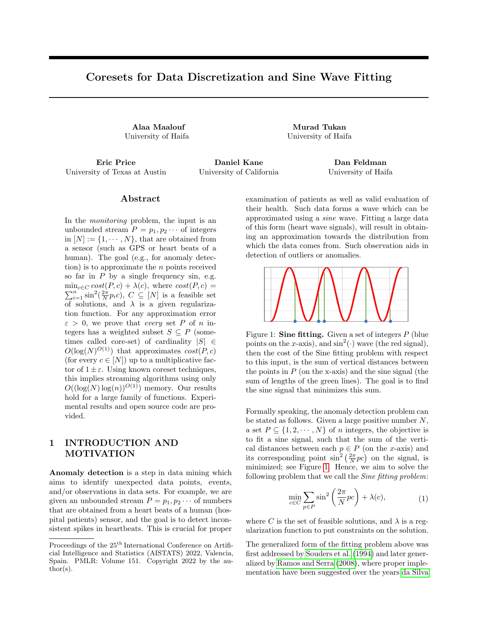Claim 8. Let G be a directed graph withn vertices. Let  $d_i$  denote the out degree of the the vertex, for  $i =$ 1; ; n. Then there is an independent set of vertices Q in G such that jQj 2  $\frac{(1)}{100}$ log N  $P_{n} = 1 \frac{1}{d_1 + 1}$ :

Proof. Let V denote the set of vertices ofG, and let E denote the set of edges oG. Partition the vertices of G into O(log n) induced sub-graphs, where each vertex in the j th sub-graph H<sub>j</sub> has out degree in [ $2^{-1}$ ; 2<sup>j</sup> <sup>j</sup> 1]

for any non-negative integerj <mark>maxd<sub>i</sub> . Let</mark><br><sup>i2 [n]</sup> H denote the sub-graph with the largest number of vertices. Pick a random sampleS of jV j<sup>2</sup>=(2jE j) nodes from V. The expected number of edges in the induced sub-graph of H by S is bounded by j $Vj^2 = (4jEj)$ . Let

### $T = f v j (v; u)$  is an edge of the sub-graph of H induced by Sg:

By Markov inequality, with probability at least  $1 = 2$ we have jTj  $V^2=2$ . Assume that this event indeed holds. Hence, the sub-graph ofH that is induced by  $S \cap T$  is an independent set of H with  $|S \cap T|$  = jVj<sup>2</sup>≔2jEj V<sup>2</sup>≔4jEj V  $^{2}$ =4jEj nodes. SincejEj 2 O 2<sup>j</sup> jV<sub>jb</sub> we havejS<sub>j</sub> nJ<sub>j</sub> j = jV j=2<sup>j</sup> 2  $\frac{1}{\sqrt{2}}$ <sub>v2V<sub>i</sub> (1) =d<sub>v</sub>.</sub> 〜∠ <sub>лур</sub><br>Hence, we navejo<sub>j</sub> i p  $_{\mathrm{v2V}}$  (1) =d<sub>v</sub>. By the pigeonhole principle, there is  $\frac{1}{P}$  such that  $jS_j$  n  $T_j$  i can be bounded from below by  $\int_{\sqrt{2} \sqrt{2}} (1) = d$ <sub>v</sub>=O(log n).

Claim 9. There is  $a_{\mathbf{B}}$ etQ P such that  $g(q; Q) = 1$ for every q 2 Q, and P  $_{p2 P}$   $\frac{1}{g(p; P)}$  2 j Qj (log N):

Proof. Let  $b_2$  be de ned as in the proof of Lemma 6. For every  $p 2 P$ , let  $g^{-1}(p; P) 2 C(p)$  such that

$$
g^{-1}(p; P) 2
$$
  
arg min<sub>c2C(p)</sub> q2 P n fpg : sin<sup>2</sup> qc  $\frac{2}{N}$   $\frac{b2}{N}$  :

Let  $G = (P; E)$  denote the directed graph whose vertices are the integers inP, and whose edges are

$$
E := (p; q) 2 P P : p \in q \text{ and}
$$
  

$$
\sin^2 \frac{2}{N} q g^{-1}(p; P) \frac{1}{b_3} :
$$
 (9)

The out degree of a vertexp of G is  $g(p; P)$  1. By  $G$ laim 8, there is independent setQ of G such that  $\frac{1}{\mathsf{q}_1\mathsf{p}_2(\mathsf{p};\mathsf{P})}$  2 j Qj (log N): Since Q is independent set, for every q 2 Q we have  $g(q; Q) = 1$ .  $\Box$ 

The following claim serves to bound the size of the independent set, i.e., for every pointp 2 P in the set,  $g(p; P) = 1.$ 

Claim 10. Let  $Q$  [N] such that  $q(q; Q) = 1$  for every q 2 Q. Then  $iQi$   $log N$ :

Finally, combining Lemma 6, Lemma 7, Claim 9 and Claim 10, satises Theorem 4 which presents a bound on the total sensitivity with respect to the sin<sup>2</sup> () cost function.

3.2 Bound on The VC Dimension

First, we de ne VC dimension with respect to the Sine tting problem.

De nition 11 (VC-dimension (Braverman et al., 2016)). Let  $N > 1$  be a positive integer, P [N] be a set of n integer, and let  $r \geq 0$ ; 1, we de ne

$$
ranges(x; r) = fp2 P j f (p; x) rg;
$$

for every  $x \neq [N]$  and  $r = 0$ . The dimension of the Sine tting problem is the size Si of the largest subset S P such that

if S \ ranges(x; r ) j x 2 [N ]; r 0gj = 2<sup>jSj</sup>:

Lemma 12 (Bound on the VC dimension of the Sine tting problem). Let  $n; N$  1 be a pair of positive integers such thatn  $N$ , and let P [N] be a set of n points. Then the VC dimension of the Sine tting problem with respect to P and N is  $O(log(nN))$ .

Proof. We note that the VC-dimension of the set of classiers that output the sign of a sine wave parametrized by a single parameter (the angular frequency of the sine wave) is in nite. However since our query space is bounded, i.e., every query is an integer in the range  $[1, N]$ , then the VC dimension is bounded as follows. First, let D(p; x) = sin<sup>2</sup>(px  $\frac{2}{N}$ ) for every p 2 P, and x 2 [n]. We observe that for every  $p 2 P$  and  $x 2 [N]$ ,  $D(p; x)$  1. Hence, for every  $x \neq [N]$  and  $r \neq [0;1]$  it holds that f ranges $(x; r)$ jr 0g = f ranges $(x; r)$ jr 2 [0; 1]g; where ranges(x; r) = fp 2 P j d(p; x) rg is dened as in De nition 11. Secondly, by the de nition of ranges, we have that for every pair of  $r_1$ ;  $r_2 \leq [0; 1]$  and x 2 [N] where  $r_2$   $r_1$ , ranges  $(x; r_2) =$  $r 2 [r_1; r_2]$ ranges  $(x; r)$  :

This yields that if ranges  $(x; r)$  ir 2 [0; 1]gj n for any  $x \neq 2$  [N], which consequently means that if ranges  $(x; r)$  ix 2 [N ];  $r$  0gi = nN; since  $x \ne 2$  [N ] is an integer, and each suchx would create a dierent set of n subsets of P. Thus we get that 8S P: if S \ ranges (x; r ) jx 2 [N ]; r 0gj nN = 2<sup>log(nN</sup>):

The claim then follows since the above inequality states that the VC dimension is bounded from above by log (nN ). $\Box$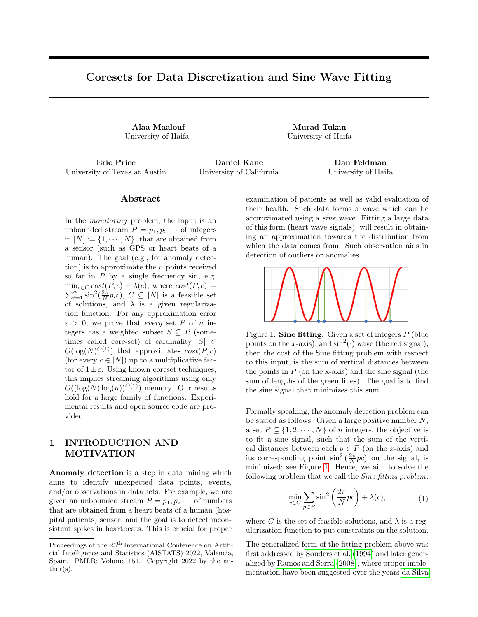# 4 REMARKS AND EXTENSIONS

In this section brie
y discuss several remarks and extensions of our work.

Parallel implementation. Computing the sensitivities for n input points requires  $O(Nn)$  time, this is by computing  $cost(c) :=$  $_{\sf q2\,P}$  sin<sup>2</sup>(qc  $\frac{2}{\sf N}$ ) for every c 2 [n], and then bounding the sensitivity for very p 2 P by iterating over all queries c 2 [N ], and taking the one which maximizes its term. However, this can be practically improved by applying a distributed fashion algorithm. Notably, one can compute the cost  $_{q2P}$  sin<sup>2</sup> qc  $\frac{2}{N}$  of every query c 2 [N] independently from all other queries in [N ], similarly, once we computed the cost of every queryc 2 [N ], the sensitivity of each point p 2 P can be computed independently from all of the other points. Algorithm 1 utilises these observations: It receives as input an integerN which indicates the query set range, a se $P$  [N], and an integer M indicating the number of machines given to apply the computations on. Algorithm 1 outputs a function  $s : P$  ! (0; 1), where  $s(p)$  is the sensitivity of p for every p 2 P.

| Algorithm 1: Calculate-Sensitivities (P; N; M)                                                                                                                                                                                                                                                                 |
|----------------------------------------------------------------------------------------------------------------------------------------------------------------------------------------------------------------------------------------------------------------------------------------------------------------|
| Input : An integer $N > 1$ , a set P [N] of                                                                                                                                                                                                                                                                    |
| $n > 1$ integers, and an integerM $1$ .                                                                                                                                                                                                                                                                        |
| Output: A function $s : P$ ! (0;1), where for                                                                                                                                                                                                                                                                  |
| every $p 2 P : s(p)$ is the sensitivity of p.                                                                                                                                                                                                                                                                  |
| $C_1$ ; $C_M := a$ partition of [N] into M disjoint<br>subsets, each contains at most N=M e integers                                                                                                                                                                                                           |
|                                                                                                                                                                                                                                                                                                                |
| from [N]. f In some cases, the last se $\mathbb{C}_M$ might<br>be empty.g                                                                                                                                                                                                                                      |
| 2 $P_1$ ; ; $P_M$ := a partition of P into M disjoint                                                                                                                                                                                                                                                          |
|                                                                                                                                                                                                                                                                                                                |
| subsets, each contains at mosth=M e integers                                                                                                                                                                                                                                                                   |
| from P. f In some cases, the last se $P_M$ might                                                                                                                                                                                                                                                               |
| be empty.g                                                                                                                                                                                                                                                                                                     |
| 3 for every i 2 [M], in distributed manner do                                                                                                                                                                                                                                                                  |
|                                                                                                                                                                                                                                                                                                                |
| <sup>4</sup>   for every c 2 C <sub>i</sub> do<br>5   Set cost(c) := $\frac{1}{q^2 P} \sin^2 q c \frac{2}{N}$                                                                                                                                                                                                  |
| $\mathcal{L}$ and the set of $\mathcal{L}$ and $\mathcal{L}$ and $\mathcal{L}$ and $\mathcal{L}$ and $\mathcal{L}$ and $\mathcal{L}$ and $\mathcal{L}$ and $\mathcal{L}$ and $\mathcal{L}$ and $\mathcal{L}$ and $\mathcal{L}$ and $\mathcal{L}$ and $\mathcal{L}$ and $\mathcal{L}$ and $\mathcal{L}$ and $\$ |

$$
\epsilon
$$
 for every i 2 [M], in distributed manner do

$$
7 \mid \text{ for every } p \ 2 \ P_i \ \text{do}
$$

$$
8 \quad \bigg| \quad \bigg| \quad \text{Set s}(p) := \max_{c2 \text{ [N]}} \frac{\sin^2(\text{pc } \frac{2}{N})}{\cost(c)}
$$

<sup>9</sup> return s

Extension to high dimensional data. Our results can be easily extended to the case where (i) the points (of P) lie on a polynomial grid of resolution  $\geq 0$  of any dimensiond 1, and (ii) they are further assumed to be contained inside a ball of radius  $N > 0$ . Note that, such assumptions are common in the coreset literature, e.g., coresets for protective clustering Edwards and Varadarajan (2005), relu function Mussay

et al. (2021), and logistic regression Tolochinsky and Feldman (2018). The analysis with respect to the sensitivity can be directly extended, and the VC dimension is now bounded byO  $\frac{1}{d}$  dlog  $\frac{N}{d}$  n . Both claims are detailed at Section B of the appendix.

Approximating the optimal solution via core-

sets. Let  $N > 1$  be an integer,  $P$  [N], and let  $(S, v)$  be a coreset for P as in Theorem 2. Let p 2 arg min<sub>c2 [N ]</sub>  $_{p2}P$  sin<sup>2</sup>(pc  $\frac{2}{N}$ ) and c 2 arg min<sub>c2 [N ]</sub>  $\int_{p2S} v(p) \sin^2(pc \frac{2}{N})$  be the optimal sowhich is on the input and its coreset, respectively, then  $_{p2P}$  sin<sup>2</sup>(pc 2N) (1+")  $_{p2P}$  sin<sup>2</sup>(pp 2N).

# 5 EXPERIMENTAL RESULTS

In what follows we evaluate our coreset against uniform sampling on real-world datasets.

Software/Hardware. Our algorithms were implemented in Python 3.6 (Van Rossum and Drake, 2009) using \Numpy" (Oliphant, 2006). Tests were performed on 259GHz i7-6500U (2 cores total) machine with 16GB RAM.

- 5.1 Datasets And Applications
- (i) Air Quality Data Set (De Vito et al., 2008), which contains 9; 358 instances of hourly averaged responses from an array of 5 metal oxide chemical sensors embedded in an Air Quality Chemical Multisensor Device. We used two attributes (each as a separate dataset) of hourly averaged measurements of (1) tungsten oxide - labeled by (i)-(1) in the gures, and (2) NO2 concentration - labeled by (i)-(2). Fitting the sine function on each of these attributes aids in understanding their underlying structure over time. This helps us in nding anomalies that are far enough from the tted sine function. Finding anomalies in this context could indicate a leakage of toxic gases. Hence, our aim is to monitor their behavior over time, while using low memory to store the data.
- (ii) Single Neuron Recordings (Don H. Johnson, 2013b) acquired from a cat's auditory-nerve ber. The dataset has  $127505$  samples and the goal of Sine tting with respect to such data is to infer cyclic properties from neuron signals which will aim in further understanding of the wave of a single neuron and it's structure.
- (iii) Dog Heart recordings of heart ECG (Don H. Johnson, 2013a). The dataset has  $360448$  samples. We have used the absolute values of each of the points corresponding to the \electrocardiogram" feature which refers to the ECG wave of the dog's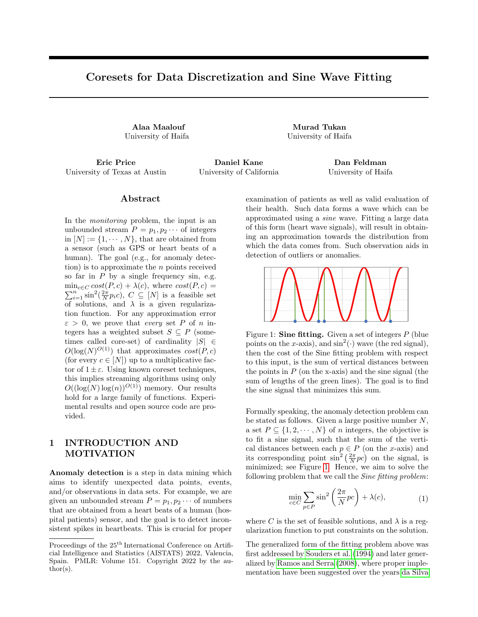Figure 3: Optimal solution approximation error: The x axis is the size of the chosen subset, the y axis is the optimal solution approximation error. Datasets, from left to right, (i)-(1), (i)-(2), and (iii).

Figure 4: Maximum approximation error: The x axis is the size of the chosen subset, the y axis is the maximum approximation error across the whole set of queries. Datasets, from left to right, (i)-(1), (i)-(2), and (iii).

heart. The goal of Sine tting on such data is to obtain the distribution of the heart beat rates. This aids to detects spikes, which could indicate health problems relating to the dog's heart.

#### 5.2 Reported Results

Approximation error. We iterate over dierent sample sizes, where at each sample size, we generate two coresets, the rst is using uniform sampling and the latter is using sensitivity sampling. For every such coreset  $(S; v)$ , we compute and report the following.

- (i) The optimal solution approximation error, i.e., we nd c 2 arg min<sub>c2 C</sub>  $_{p2S}$  v(p) sin<sup>2</sup>( $\frac{2}{N}$  pc). Then the approximation error " is set to be  $_{p 2}$  B sin<sup>2</sup> ( $\frac{2}{N}$  pc)  $\frac{p_2}{p_2 - p_1} \frac{p_1}{\sin^2(\frac{p_1}{N}-p_2)}$ 1; see Figure 3.
- (ii) The maximum approximation error of the coreset over all query in the query set, i.e.,  $max_{c2 C}$  1  $\frac{p_2 s v(p) \sin^2(\frac{2}{N}pc)}{p_2 p \sin^2(\frac{2}{N}pc)}$ ; see Figure 4.

The results were averaged across 32 trials. As can be seen in Figures 3 and 4, the coreset in such context (for the described applications in Section 5.1) encapsulates the structure of the dataset and approximate

the datasets behavior. Our coreset obtained consistent smaller approximation errors in almost all the experiments in both experiments than those obtained by uniform sampling. Observe that our advantage on Dataset (iii) is much more signi cant than the others as this dataset admits a clear periodic underlying structure. Note that, in some cases the coreset is able to encapsulate the entirety of the underlying structure at small sample sizes much better than uniform sampling due to its sensitivity sampling. This means that the optimal solution approximation error in practice can be zero; see the rightmost plot in Figure 3.

Approximating the Sine function's shape and the probability density function of the costs. In this experiment, we visualize the Sine tting cost as in (1) on the entire dataset over every query in  $[N]$  as well as visualizing it on our coreset. As depicted in Figures 5 and 6, the large the coreset size, the smaller the deviation of both functions. This proves that in the context of Sine tting, the coreset succeeds in retaining the structure of the data up to a provable approximation. In addition, due to the nature of our coreset construction scheme, we expect that the distribution will be approximated as well. This also can be seen in Figure 5 and 6. Speci cally speaking, when the coreset size is small, then the deviation (i.e., approximation error) between the cost of (1) on the coreset from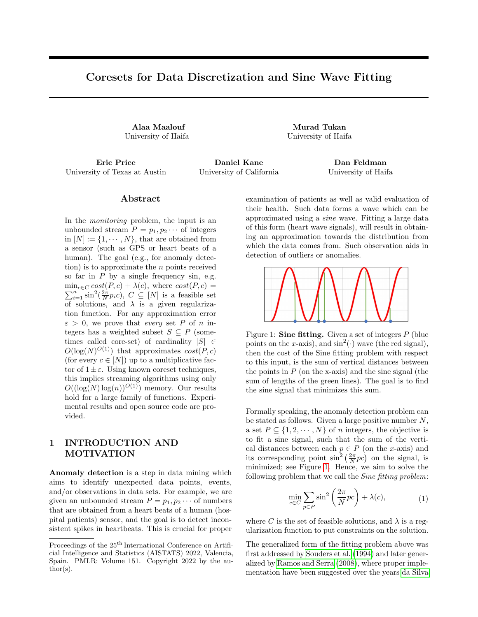Figure 5: Sine tting cost as a function of the given query. Dataset (ii) was used.

Figure 6: Sine tting cost as a function of the given query. Dataset (iii) was used.

the cost of (1) on the whole data, will be large (theoretically and practically), with respect to any query in [N ]. As the coreset size increases, the approximation error decreases as expected also in theory. This phenomenon is observed throughout our experiments, and specically visualized at Figures 5 and 6 where one can see that the alignment between probability density functions with respect to the coreset and the whole data increases with the coreset size. Note that, we used only 2000 points from Dataset (iii) to generate the results presented at Figure 6.

### 6 CONCLUSION, NOVELTY, AND FUTURE WORK

Conclusion. In this paper, we proved that for every integer  $N > 1$ , and a set P  $[N]$  of  $n > 1$  integers, we can compute a coreset of siz $\mathbf{\Theta}(\log(\mathsf{N}\,)^{\mathsf{O}(\mathsf{1})})$  for the Sine tting problem as in (1). Such a coreset approximates the Sine tting cost for every query c up to a 1 " multiplicative factor, allowing us to support streaming and distributed models. Furthermore, this result allows us to gain all the bene ts of coresets (as explained in Section 1.1) while simultaneously maintaining the underlying structure that these input points form as we showed in our experimental results.

Novelty. The proofs are novel in the sense that the used techniques vary from di erent elds that where not previously leveraged in the context of coresets, e.g., graph theory, and trigonometry. Furthermore to our knowledge, our paper is the rst to use sensitivity to obtain a coreset for problems where the involved cost function is trigonometric, and generally functions with cyclic properties. We hope that it will help open the door for more coresets in this eld.

Future work includes (i) suggesting a coreset for a high dimensional input, (ii) computing and proving a lower bound on the time it takes to compute the coreset, (iii) extending our coreset construction to a generalized form of cost function as in (Souders et al., 1994; Ramos and Serra, 2008), and (iv) discussing the applicability of such coresets in a larger context such as quantization (Hong et al., 2022; Zhou et al., 2018; Park et al., 2017) of deep neural networks while merging it with other compressing techniques such as pruning (Liebenwein et al., 2019; Baykal et al., 2018) and low-rank decomposition (Tukan et al., 2021b; Maalouf et al., 2020a; Liebenwein et al., 2021), and/or using it as a prepossessing step for other coreset construction algorithms that requires discretization constraints on the input, e.g., (Varadarajan and Xiao, 2012).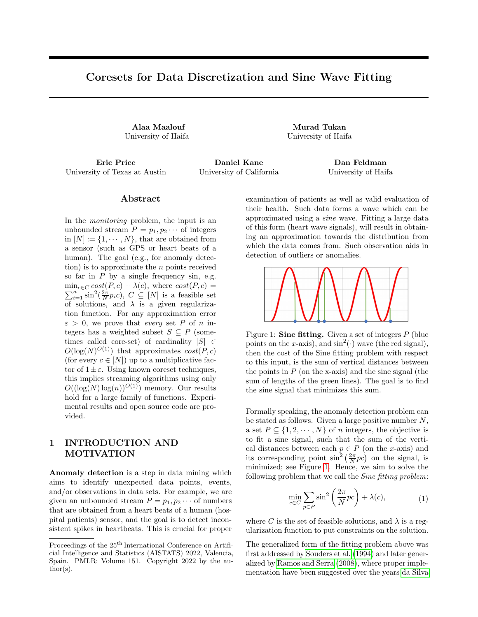### 7 ACKNOWLEDGEMENTS

This work was partially supported by the Israel National Cyber Directorate via the BIU Center for Applied Research in Cyber Security.

### References

- Agarwal, P. K., Har-Peled, S., and Varadarajan, K. R. (2004). Approximating extent measures of points. Journal of the ACM (JACM) , 51(4):606{635.
- Augustyn, J. and Kampik, M. (2018). Improved sine tting algorithms for measurements of complex ratio of ac voltages by asynchronous sequential sampling. IEEE Transactions on Instrumentation and Measurement, 68(6):1659{1665.
- Bachem, O., Lucic, M., and Lattanzi, S. (2018). Oneshot coresets: The case of k-clustering. Inhternational conference on arti cial intelligence and statistics, pages 784{792. PMLR.
- Baykal, C., Liebenwein, L., Gilitschenski, I., Feldman, D., and Rus, D. (2018). Data-dependent coresets for compressing neural networks with applications to generalization bounds. InInternational Conference on Learning Representations.
- Braverman, V., Feldman, D., and Lang, H. (2016). New frameworks for oine and streaming coreset constructions. arXiv preprint arXiv:1612.00889.
- Broder, A., Garcia-Pueyo, L., Josifovski, V., Vassilvitskii, S., and Venkatesan, S. (2014). Scalable kmeans by ranked retrieval. InProceedings of the 7th ACM international conference on Web search and data mining, pages 233{242.
- Chen, J., Ren, Y., and Zeng, G. (2015). An improved multi-harmonic sine tting algorithm based on tabu search. Measurement, 59:258{267.
- Code (2022). Open source code for all the algorithms presented in this paper. Link for open-source code.
- Cohen, M. B. and Peng, R. (2015). Lp row sampling by lewis weights. In Proceedings of the forty-seventh annual ACM symposium on Theory of computing, pages 183{192.
- Cohen-Addad, V., De Verclos, R. D. J., and Lagarde, G. (2021). Improving ultrametrics embeddings through coresets. InInternational Conference on Machine Learning, pages 2060{2068. PMLR.
- da Silva, M. F. and Serra, A. C. (2003). New methods to improve convergence of sine tting algorithms. Computer Standards & Interfaces, 25(1):23{31.
- Dasgupta, A., Drineas, P., Harb, B., Kumar, R., and Mahoney, M. W. (2009). Sampling algorithms and coresets for nell\_p regression. SIAM Journal on Computing, 38(5):2060{2078.
- De Vito, S., Massera, E., Piga, M., Martinotto, L., and Di Francia, G. (2008). On eld calibration of an electronic nose for benzene estimation in an urban pollution monitoring scenario. Sensors and Actuators B: Chemical, 129(2):750{757.
- Don H. Johnson (2013a). Signal processing information base (spib) - clinical data. http://spib. linse.ufsc.br/clinical.html , Last accessed on 2021-10-10.
- Don H. Johnson (2013b). Signal processing information base (spib) - physiological data. http:// spib.linse.ufsc.br/physiological.html . Last accessed on 2021-10-10.
- Edwards, M. and Varadarajan, K. (2005). No coreset, no cry: Ii. In International conference on foundations of software technology and theoretical computer science pages 107{115. Springer.
- Feldman, D. (2020). Core-sets: An updated survey. Wiley Interdisciplinary Reviews: Data Mining and Knowledge Discovery, https://arxiv.org/abs/2011.09384 , 10(1):e1335.
- Feldman, D., Faulkner, M., and Krause, A. (2011). Scalable training of mixture models via coresets. In Advances in neural information processing systems pages 2142{2150.
- Feldman, D., Monemizadeh, M., Sohler, C., and Woodru, D. P. (2010). Coresets and sketches for high dimensional subspace approximation problems. In Proceedings of the twenty-rst annual ACM-SIAM symposium on Discrete Algorithms, pages 630{649. Society for Industrial and Applied Mathematics.
- Feldman, D., Schmidt, M., and Sohler, C. (2013). Turning big data into tiny data: Constant-size coresets for k-means, pca and projective clustering. In Proceedings of the Twenty-Fourth Annual ACM-SIAM Symposium on Discrete Algorithms, pages 1434{1453. SIAM.
- Gholami, A., Kim, S., Dong, Z., Yao, Z., Mahoney, M. W., and Keutzer, K. (2021). A survey of quantization methods for e cient neural network inference. arXiv preprint arXiv:2103.13630.
- Gu, L. (2012). A coreset-based semi-supverised clustering using one-class support vector machines. In Control Engineering and Communication Technology (ICCECT), 2012 International Conference on, pages 52{55. IEEE.
- Har-Peled, S., Roth, D., and Zimak, D. (2007). Maximum margin coresets for active and noise tolerant learning. In IJCAI , pages 836{841.
- Hong, C., Kim, H., Baik, S., Oh, J., and Lee, K. M. (2022). Daq: Channel-wise distribution-aware quantization for deep image super-resolution networks.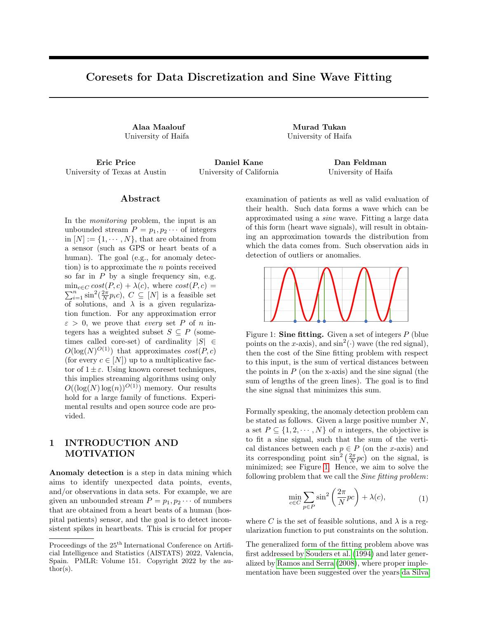In Proceedings of the IEEE/CVF Winter Conference on Applications of Computer Vision, pages 2675{ 2684.

- Huang, J., Huang, R., Liu, W., Freris, N., and Ding, H. (2021). A novel sequential coreset method for gradient descent algorithms. InInternational Conference on Machine Learning, pages 4412{4422. PMLR.
- Huang, L., Sudhir, K., and Vishnoi, N. (2020). Coresets for regressions with panel data. Advances in Neural Information Processing Systems 33:325{337.
- Huggins, J., Campbell, T., and Broderick, T. (2016). Coresets for scalable bayesian logistic regression. Advances in Neural Information Processing Systems, 29:4080{4088.

Jubran, I., Maalouf, A., and Feldman, D. (2019). Introduction to coresets: Accurate coresets. arXiv preprint arXiv:1910.08707.

Jubran, I., Sanches Shayda, E. E., Newman, I., and Feldman, D. (2021). Coresets for decision trees of signals. Advances in Neural Information Processing Systems 34.

Jubran, I., Tukan, M., Maalouf, A., and Feldman, D. (2020). Sets clustering. InInternational Conference on Machine Learning, pages 4994{5005. PMLR.

Karnin, Z. and Liberty, E. (2019). Discrepancy, coresets, and sketches in machine learning. InConference on Learning Theory, pages 1975{1993. PMLR.

Liebenwein, L., Baykal, C., Lang, H., Feldman, D., and Rus, D. (2019). Provable Iter pruning for  $e$  cient neural networks. In International Conference on Learning Representations.

- Liebenwein, L., Maalouf, A., Feldman, D., and Rus, D. (2021). Compressing neural networks: Towards determining the optimal layer-wise decomposition.Advances in Neural Information Processing Systems, 34.
- Lucic, M., Bachem, O., and Krause, A. (2016). Strong coresets for hard and soft bregman clustering with applications to exponential family mixtures. In Gretton, A. and Robert, C. C., editors, Proceedings of the 19th International Conference on Arti cial Intelligence and Statistics, volume 51 ofProceedings of Machine Learning Researchpages 1{9, Cadiz, Spain. PMLR.
- Maalouf, A., Eini, G., Mussay, B., Feldman, D., and Osadchy, M. (2021a). A unied approach to coreset learning. arXiv preprint arXiv:2111.03044.
- Maalouf, A., Jubran, I., and Feldman, D. (2019). Fast and accurate least-mean-squares solvers. Proceedings of the 33rd International Conference on Neural Information Processing Systems, pages 8307{8318.
- Maalouf, A., Jubran, I., and Feldman, D. (2021b). Introduction to coresets: Approximated mean. arXiv preprint arXiv:2111.03046.
- Maalouf, A., Jubran, I., Tukan, M., and Feldman, D. (2021c). Coresets for the average case error for nite query sets. Sensors, 21(19):6689.
- Maalouf, A., Lang, H., Rus, D., and Feldman, D. (2020a). Deep learning meets projective clustering. In International Conference on Learning Representations.
- Maalouf, A., Statman, A., and Feldman, D. (2020b). Tight sensitivity bounds for smaller coresets. InProceedings of the 26th ACM SIGKDD International Conference on Knowledge Discovery & Data Mining, pages 2051{2061.
- Mirzasoleiman, B., Cao, K., and Leskovec, J. (2020). Coresets for robust training of deep neural networks against noisy labels. Advances in Neural Information Processing Systems 33.
- Munteanu, A., Schwiegelshohn, C., Sohler, C., and Woodru, D. P. (2018). On coresets for logistic regression. In Proceedings of the 32nd International Conference on Neural Information Processing Systems, pages 6562{6571.
- Mussay, B., Feldman, D., Zhou, S., Braverman, V., and Osadchy, M. (2021). Data-independent structured pruning of neural networks via coresets.IEEE Transactions on Neural Networks and Learning Systems.
- Nagel, M., Amjad, R. A., Van Baalen, M., Louizos, C., and Blankevoort, T. (2020). Up or down? adaptive rounding for post-training quantization. In International Conference on Machine Learning, pages 7197{7206. PMLR.
- Naumov, M., Diril, U., Park, J., Ray, B., Jablonski, J., and Tulloch, A. (2018). On periodic functions as regularizers for quantization of neural networks. arXiv preprint arXiv:1811.09862.
- Oliphant, T. E. (2006). A guide to NumPy, volume 1. Trelgol Publishing USA.
- Park, E., Ahn, J., and Yoo, S. (2017). Weightedentropy-based quantization for deep neural networks. In Proceedings of the IEEE Conference on Computer Vision and Pattern Recognition, pages 5456{5464.
- Phillips, J. M. (2016). Coresets and sketches.arXiv preprint arXiv:1601.00617.
- Pintelon, R. and Schoukens, J. (1996). An improved sine-wave tting procedure for characterizing data acquisition channels.IEEE Transactions on Instrumentation and Measurement 45(2):588{593.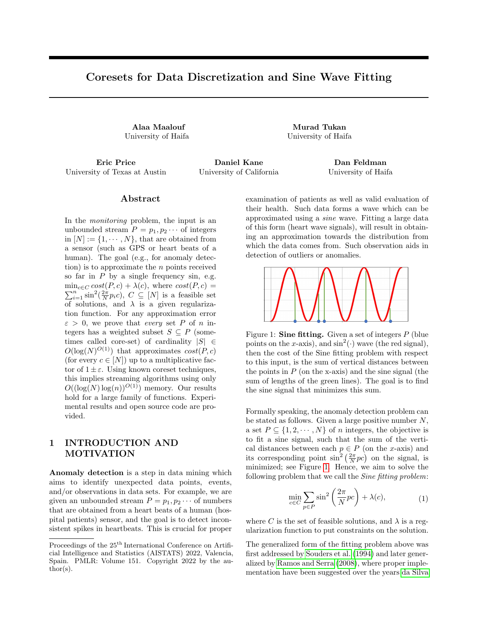- Queiros, R., Alegria, F. C., Girao, P. S., and Serra, A. C. C. (2010). Cross-correlation and sine-tting techniques for high-resolution ultrasonic ranging. IEEE Transactions on Instrumentation and Measurement, 59(12):3227{3236.
- Ramos, P. M. and Serra, A. C. (2008). A new sine tting algorithm for accurate amplitude and phase measurements in two channel acquisition systems. Measurement, 41(2):135{143.
- Renczes, B., Kolar, I., and Daboczi, T. (2016). Efcient implementation of least squares sine tting algorithms. IEEE Transactions on Instrumentation and Measurement 65(12):2717{2724.
- Renczes, B. and Pal, V. (2021). A computationally e cient non-iterative four-parameter sine tting method. IET Signal Processing, 15(8):562{571.
- Sarlos, T. (2006). Improved approximation algorithms for large matrices via random projections. In 2006 47th Annual IEEE Symposium on Foundations of Computer Science (FOCS'06) pages 143{ 152. IEEE.
- Schmidt, M., Schwiegelshohn, C., and Sohler, C. (2019). Fair coresets and streaming algorithms for fair k-means. In International Workshop on Approximation and Online Algorithms, pages 232{251. Springer.
- Sohler, C. and Woodru, D. P. (2011). Subspace embeddings for the l1-norm with applications. In Proceedings of the forty-third annual ACM symposium on Theory of computing, pages 755{764.
- Sohler, C. and Woodru, D. P. (2018). Strong coresets for k-median and subspace approximation: Goodbye dimension. In 2018 IEEE 59th Annual Symposium on Foundations of Computer Science (FOCS) pages 802{813. IEEE.
- Souders, T. et al. (1994). Ieee std 1057-1994, ieee standard for digitizing waveform records, waveform measurements and analysisNew York: Institute of Electrical and Electronics Engineers Inc, page 14.
- Tolochinsky, E. and Feldman, D. (2018). Generic coreset for scalable learning of monotonic kernels: Logistic regression, sigmoid and more.arXiv preprint arXiv:1802.07382.
- Tsang, I.-H., Kwok, J.-Y., and Zurada, J. M. (2006). Generalized core vector machines.IEEE Transactions on Neural Networks, 17(5):1126{1140.
- Tsang, I. W., Kwok, J. T., and Cheung, P.-M. (2005a). Core vector machines: Fast svm training on very large data sets. Journal of Machine Learning Research, 6(Apr):363{392.
- Tsang, I. W., Kwok, J. T.-Y., and Cheung, P.-M. (2005b). Very large svm training using core vector machines. InAISTATS .
- Tukan, M., Baykal, C., Feldman, D., and Rus, D. (2021a). On coresets for support vector machines. Theoretical Computer Science.
- Tukan, M., Maalouf, A., and Feldman, D. (2020). Coresets for near-convex functions. Advances in Neural Information Processing Systems 33.
- Tukan, M., Maalouf, A., Weksler, M., and Feldman, D. (2021b). No ne-tuning, no cry: Robust svd for compressing deep networks.Sensors 21(16):5599.
- Van Rossum, G. and Drake, F. L. (2009). Python 3 Reference Manual. CreateSpace, Scotts Valley, CA.
- Varadarajan, K. and Xiao, X. (2012). A near-linear algorithm for projective clustering integer points. In Proceedings of the twenty-third annual ACM-SIAM symposium on Discrete Algorithms, pages 1329{ 1342. SIAM.
- Zhou, Y., Moosavi-Dezfooli, S.-M., Cheung, N.-M., and Frossard, P. (2018). Adaptive quantization for deep neural network. In Proceedings of the AAAI Conference on Arti cial Intelligence, volume 32.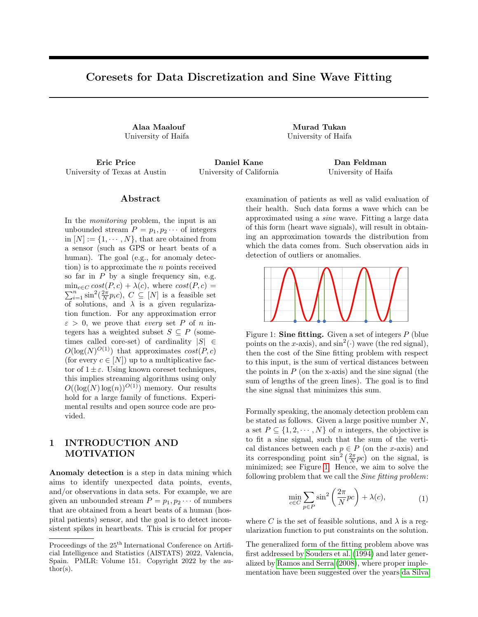# Supplementary Material: Coresets for Data Discretization and Sine Wave Fitting

# A PROOF OF TECHNICAL RESULTS

#### A.1 Proof of Claim 5

Proof. Put  $x \, 2 \, Z^+$  and observe that

$$
x = \frac{i}{a}x^{k} + x \mod a
$$
 (10)

Thus,

$$
\sin \frac{b}{a}x = \sin \frac{b}{a} \frac{i}{a} \frac{x}{a} + \frac{b}{a}x \mod a
$$
\n
$$
= \sin \frac{j}{a} \frac{x}{b} + \frac{b}{a}x \mod a \quad ;
$$
\n(11)

where the rst equality holds by (10).

Using trigonometric identities, we obtain that

$$
\sin \frac{j}{a} \frac{x^{k}}{b} + \frac{b}{a} x \mod a =
$$
\n
$$
\sin \frac{j}{a} \frac{x^{k}}{b} \quad \cos \frac{b}{a} (x \mod a)
$$
\n
$$
+ \sin \frac{b}{a} (x \mod a) \quad \cos \frac{j}{a} \frac{x^{k}}{b} \quad \therefore
$$
\n(12)

Since  $\frac{x}{a}$  b 2 f 0; ; 2 ; 3 ; g, we have that

 $\sin \frac{j}{2}$ a k  $b = 0;$ j <sup>x</sup> a k  $b = 1:$ 

and

By combining the previous equalities with (11) and (12), Claim 5 follows.

#### A.2 Proof of Claim 10

Proof. Contradictively assume that  $jQj - 1 + log N$ , and let T be a subset of  $1 + log N$  integers from Q. Since  $g(q; Q) = 1$  for every q 2 Q, we have

$$
q \bmod \frac{N}{2} = jQj \quad 1 + \log N.
$$

Observer that (i) the set T has  $2^{Tj}$  > N di erent subsets. Hence it has O(N<sup>2</sup>) distinct pair of subsets, and (ii) Observer that (i) the set T hap  $2 \times 18$  of eights<br>for any T<sup>0</sup> T we have that  $\frac{1}{92} \frac{1}{10}$  (q mod  $\frac{N}{2}$ ) 2  $\overline{r}$  $(1 + \log N)^{\frac{N}{2}}$  $\mathbf{I}$ . By (i), (ii) and the pigeonhole principle there are two distinct sets  $T_1$ ;  $T_2$  T such that

$$
\frac{X}{q2T_1}(q \bmod \frac{N}{2}) = \frac{X}{q2T_2}(q \bmod \frac{N}{2})
$$

$$
\begin{array}{c}\n a \\
 \text{cos} \\
 \frac{x}{a} & b \\
 \end{array} = 1
$$

 $\Box$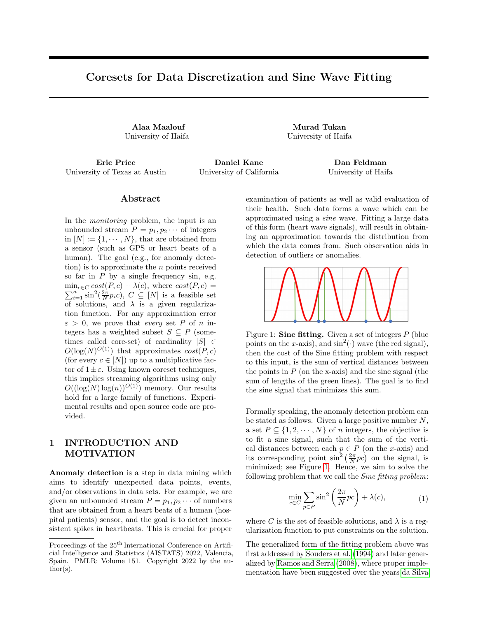Put  $p 2 T_2$ , and observe that

$$
p \bmod \frac{N}{2} = \frac{X}{\sum_{q2 \ T_1} (q \bmod \frac{N}{2})} \quad \frac{X}{\sum_{q2 \ T_2 \text{nf } pg} (q \bmod \frac{N}{2})}.
$$

Therefore for everyc 2 [N ],

$$
cp \mod \frac{N}{2} = c(p \mod \frac{N}{2}) \mod \frac{N}{2}
$$
  
\n
$$
= c \frac{\omega}{2} \cdot (q \mod \frac{N}{2}) \times (q \mod \frac{N}{2})^{A} \mod \frac{N}{2}
$$
  
\n
$$
0 \quad \frac{q^{2}T_{1}}{q^{2}T_{2}nf \log} \quad (cq \mod \frac{N}{2})^{A} \mod \frac{N}{2}.
$$
  
\n
$$
\frac{\omega}{q^{2}T_{1}f \log} \quad (cq \mod \frac{N}{2})^{A} \mod \frac{N}{2}.
$$
  
\n(13)

Since  $g(p; Q) = 1$  by the assumption of the claim, there is c 2 C(p) such that for every q 2 T (where q  $6$  p), either (i) cq mod  $\frac{N}{2}$  ,  $\frac{N}{16 \log N}$ , or, (ii) cq mod  $\frac{N}{2}$  ,  $\frac{15N}{16 \log N}$ .

Handling Case (i). Assuming that this case holds, then by (13) we obtain that 0 1

$$
\text{cp mod } \frac{N}{2} \quad \underset{q2 \text{ T n f pg}}{\text{ @}} \frac{N}{16 \log N} \text{ A} \quad \text{mod } \frac{N}{2}
$$
\n
$$
= \frac{N}{16} \mod \frac{N}{2} = \frac{N}{16}.
$$

This contradicts the assumption that  $c 2 C(p)$ .

Handling Case (ii). Combining the assumption of this case with (13), yields that

$$
c p \mod \frac{N}{2} \qquad \frac{N}{\text{exp} \mod \frac{15N}{16 \log N}} A \mod \frac{N}{2}
$$
\n
$$
= \frac{15N}{16} \mod \frac{N}{2} = \frac{15N}{16}:
$$

This is a contradiction to the assumption that  $c 2 C(p)$ .

#### B EXTENSION TO HIGH DIMENSIONAL DATA

In this section we formally discuss the generalization of our results to constructing coresets for sine tting of rational high dimensional data. First note that in such (high dimensional) settings, the objective of the Sine tting problem becomes

$$
\min_{c2C} \sum_{p2P} \sin^2 \frac{2}{N} p^T c ;
$$

where P is the set of high dimensional input points and C is the set of queries. Note that, we still assume that both sets are nite and lie on a grid of resolution ; see next paragraph for more details.

Assumptions. To ensure the existence of coresets for the generalized form, we rst generalize the assumptions of our results as follows: (i) the original set of queries  $N$ ] is now generalized to be the seB of all points with non-negative coordinates and of resolution . Formally speaking, let > 0 be a rational number that denotes the resolution, and let  $X := fi$  g مەم<br>ق<sup>ط</sup> k  $i = 0$ <sup>d</sup> [ n N= p d o denote the set n 0; ; 2 ; 3; ; N= p d o , now, our set of queries is de ned to be

$$
B := X^d = \underbrace{X \quad X}_{d \text{ times}} \underbrace{Z \quad X}_{}
$$

i.e.,  $B$ <sup>d</sup>, and for every i 2 [d] and x 2 B, the ith coordinate x<sub>i</sub> of x is from X (if x 2 B, then 8<sub>i2[d]</sub>x<sub>i</sub> 2 X). (ii) The input P is contained in the set of queries, thus, our generalization assumes that  $B$ .

 $\Box$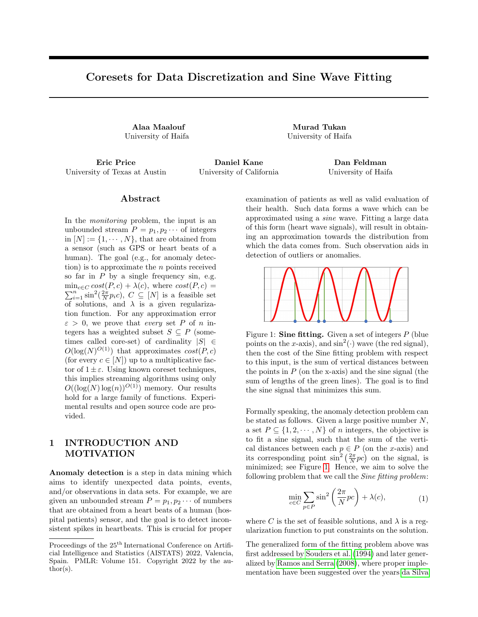Sensitivity bound and total sensitivity bound. First, for every  $x$  2 B and  $p$  2 P let  $D(p; x)$  = sin<sup>2</sup>  $\frac{2}{N}p^Tx$  . The main reason that the our main result which suits the one dimensional setting (where points and queries are integers) is interesting, relies on the fact that each point in the input set P results a sine wave Sine(p; ) : [N] ! [0; 1] of a di erent wavelengths, where speci cally for a point  $p 2 P$  [N], the wavelength of the corresponding sine wave is  $\frac{2p}{N}$ . This ensures that most point don't admit the same squared sine waves which in turn fuels the need to nd a small set of points that the sum of their squared sine waves approximate the total sum of the squared sine waves of the input set of integral points in one dimensional space.

Following the same observation, we simply generalize our cost function to account for such traits, where the wavelength of the obtained signals is shown along the direction of the points irP B; the following gure serves as descriptive illustration.

Figure 7: Given a point  $p := \begin{bmatrix} 1 \\ 2 \end{bmatrix}$  $\frac{1}{2}$  and a set of queriesB where := 0 :1 and N = 100, the above is a plot of sin<sup>2</sup>  $\frac{2}{N}$  p<sup>T</sup> x over every query x 2 B. Here the x-axis denotes the rst entry of a query x 2 B, the y-axis denotes the second entry of a queryx.

Following along the ideas above from the one dimensional case, choosing the set of queries to beand P to be any set ofn points contained in B, ful lls the same ideas. Thus, we can use  $(p; x) := \sin^2 \frac{2}{N} p^T x$  as our generalized form of squared sine loss function.

Since the dot product is non-negative in our context, it behave as a generalization of the product between two non-negative scalars. Our previous results depends on the product of two scalars rather than the scalar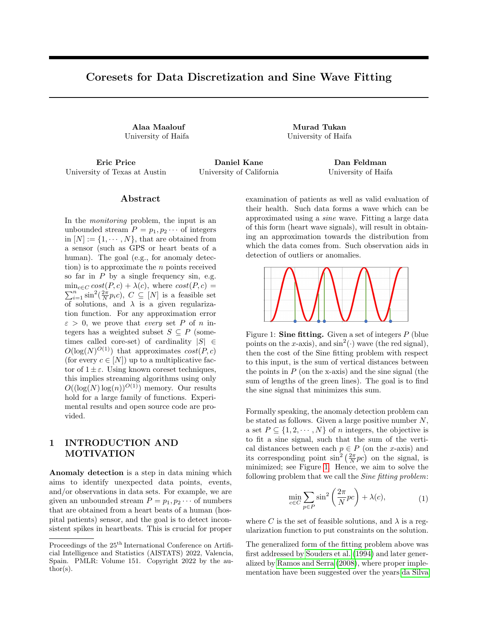themselves, and from such observation, it can be seen as a leverage point for this generalization to be equipped into our proofs.

Bounding the VC dimension. It was stated previously that the necessity of generalizing the assumptions of our results is crucial. Such necessity is needed to handle the case of restricting the VC dimension of the Sine fitting problem in the d-dimensional Euclidean space to be finite. The following gives the formal ingredients for such purpose.

**Lemma 13** (Extension of Lemma 12). Let  $N, n_{\chi}d$  be a triplet of positive integers where  $N \geq n > d$ . Let  $\Delta > 0$ be rational number such that, let  $X := \{i\Delta\}$  $\frac{\rho N}{\overline{d}}$ .  $\frac{\overline{p\ddot{a}}}{i=0}$  ∪  $\left\{\frac{N}{\sqrt{n}}\right\}$  $\left\{\frac{d}{d}\right\},$  and let  $B:=X^d$  denote the set of all d-dimensional points such that each coordinate of any point  $x \in B$  is from X, i.e., B has a resolution of  $\Delta$ . Let  $P \subseteq B$  be a set of n points. Then the VC dimension of the Sine fitting problem with respect to P and B is  $O(d \log(\frac{N}{\Delta}n))$ .

Proof. The following proof relies on an intuitive generalization of the proof of Lemma 12. We note again that the VC-dimension of the set of classifiers that output the sign of a sine wave parametrized by a single parameter (the angular frequency of the sine wave) is infinite. Regardless, our query space is bounded, i.e., every query contained in a ball of radius N. Thus, we bound the VC dimension as follows. First let  $D(p, x) = \sin^2 (p^T \cdot x \frac{2\pi}{N})$ we observe that for every  $p \in P$  and  $x \in B$ ,  $D(p, x) \leq 1$ . Hence, for every  $x \in B$  and  $r \in [0, \infty)$  it holds that

$$
{\text{ranges}(x, r)|r \ge 0} = {\text{ranges}(x, r)|r \in [0, 1]},
$$

where ranges $(x, r) = \{p \in P \mid D(p, x) \leq r\}$  is defined as in Definition 11. Secondly, by the definition of ranges, we have that for every pair of  $r_1, r_2 \in [0, 1]$  and  $x \in B$  where  $r_2 \ge r_1$ , ranges  $(x, r_2) = \bigcup$  $r \in [r_1,r_2]$ ranges  $(x, r)$ .

This yields that  $|\{\text{ranges}(x, r)| r \in [0, 1]\}| \leq n$  for any  $x \in B$ , which consequently means that

$$
|\{\text{ranges}(x,r)|x \in B, r \ge 0\}| \le n |B|,
$$

since  $x \in B$  is an integer, and each such x would create a different set of n subsets of P.

Since B is contained in a ball of radius N, it holds that  $|B| \in O\left(\frac{N^d}{\Delta^d}\right)$ . We thus get that  $\forall S \subseteq P$ ,

$$
|\{S \cap \text{ranges}(x, r)|x \in [N], r \ge 0\}| \le \frac{n}{\Delta^d} \text{vol}(B) \in 2^{O\left(d \log\left(\frac{\Delta}{n}\right)\right)}.
$$

The lemma then follows since the above inequality states that the VC dimension is bounded from above by  $O(d \log\left(\frac{N}{\Delta}n\right)).$  $\Box$ 

### C ADDITIONAL EXPERIMENTS

In this section, we carry additional experiments to show the advantage of our method in comparison with uniform sampling. We note that Figure 8 is given to show that the heartbeat data Don H. Johnson (2013a) is not of the form of a a flat-like line with regular peaks. In what follows, we show additional experiments on with respect to the sine fitting problem and the data discretization problem. For such task, we consider the following dataset:

Bat Echoes (Don H. Johnson, 2013b) – acquired from the echolocation pulse emitted by the Large Brown Bat (Eptesicus Fuscus). Such a file has a duration of 2.8ms and was digitized by considering a sampling period of  $7\mu s$ , resulting in a file with 400 samples.

At Figure 9, it is shown that our coreset clearly outperforms uniform sampling with respect to the Sine fitting problem.

We conclude this section with an experiment done to assess the effectiveness of our coreset against that of uniform sampling for the task of data discretization. Figure 10 shows the advantage of using our coreset upon using uniform sampling. For this experiment, the optimal solution of [\(1\)](#page-0-1) with respect to each of the coreset and sampled set of points using uniform sampling is computed. Then using each of the solutions, we generate a sine waves such that its phase is equal to the computed solutions. We then project the points of the whole input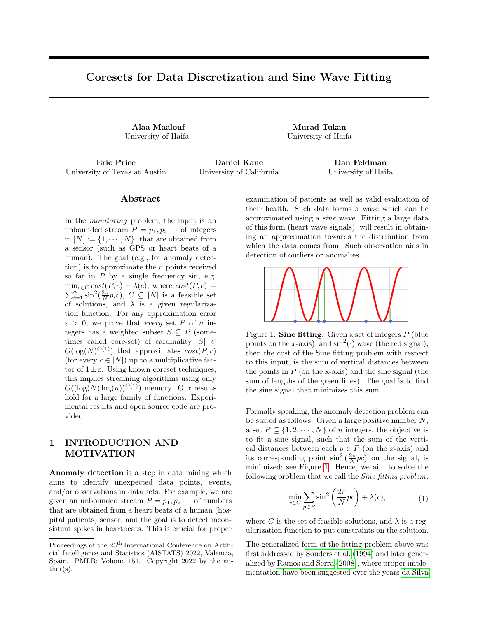

Figure 8: A snippet of the electrocardiogram with respect to a beating heart of some dog.



Figure 9: The optimal and maximal approximation errors with respect to the bat echoes dataset: The x axis is the size of the chosen subset, the y axis is the approximation error across the whole set of queries. The left figure shows the optimal solution approximation error, while the right figure serves to show the maximal approximation error across the whole set of queries.

data on the closest roots of these waves respectively, resulting into two sets of points. Now, we compute the distance between each point and its projected point and sum up the distance for each of the projected sets of points. Finally, we compute the approximated yielded by these values with respect to the value which we would have obtained if this process was done solely on the whole data.